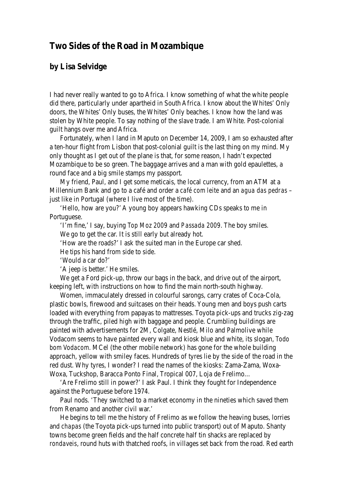## **Two Sides of the Road in Mozambique**

## **by Lisa Selvidge**

I had never really wanted to go to Africa. I know something of what the white people did there, particularly under apartheid in South Africa. I know about the Whites' Only doors, the Whites' Only buses, the Whites' Only beaches. I know how the land was stolen by White people. To say nothing of the slave trade. I am White. Post-colonial guilt hangs over me and Africa.

Fortunately, when I land in Maputo on December 14, 2009, I am so exhausted after a ten-hour flight from Lisbon that post-colonial guilt is the last thing on my mind. My only thought as I get out of the plane is that, for some reason, I hadn't expected Mozambique to be so green. The baggage arrives and a man with gold epaulettes, a round face and a big smile stamps my passport.

My friend, Paul, and I get some meticais, the local currency, from an ATM at a Millennium Bank and go to a café and order a *café com leite* and an *agua das pedras* – just like in Portugal (where I live most of the time).

'Hello, how are you?' A young boy appears hawking CDs speaks to me in Portuguese.

'I'm fine,' I say, buying *Top Moz 2009* and *Passada 2009*. The boy smiles. We go to get the car. It is still early but already hot.

'How are the roads?' I ask the suited man in the Europe car shed.

He tips his hand from side to side.

'Would a car do?'

'A jeep is better.' He smiles.

We get a Ford pick-up, throw our bags in the back, and drive out of the airport, keeping left, with instructions on how to find the main north-south highway.

Women, immaculately dressed in colourful sarongs, carry crates of Coca-Cola, plastic bowls, firewood and suitcases on their heads. Young men and boys push carts loaded with everything from papayas to mattresses. Toyota pick-ups and trucks zig-zag through the traffic, piled high with baggage and people. Crumbling buildings are painted with advertisements for 2M, Colgate, Nestlé, Milo and Palmolive while Vodacom seems to have painted every wall and kiosk blue and white, its slogan, *Todo bom Vodacom*. MCel (the other mobile network) has gone for the whole building approach, yellow with smiley faces. Hundreds of tyres lie by the side of the road in the red dust. Why tyres, I wonder? I read the names of the kiosks: Zama-Zama, Woxa-Woxa, Tuckshop, Baracca Ponto Final, Tropical 007, Loja de Frelimo…

'Are Frelimo still in power?' I ask Paul. I think they fought for Independence against the Portuguese before 1974.

Paul nods. 'They switched to a market economy in the nineties which saved them from Renamo and another civil war.'

He begins to tell me the history of Frelimo as we follow the heaving buses, lorries and *chapas* (the Toyota pick-ups turned into public transport) out of Maputo. Shanty towns become green fields and the half concrete half tin shacks are replaced by *rondaveis*, round huts with thatched roofs, in villages set back from the road. Red earth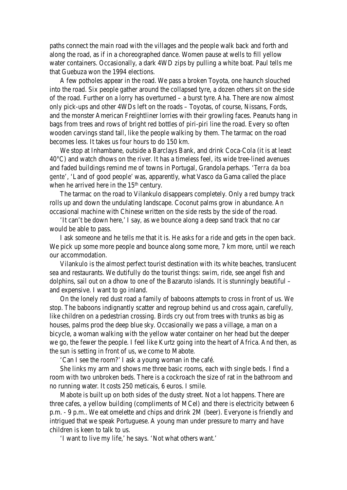paths connect the main road with the villages and the people walk back and forth and along the road, as if in a choreographed dance. Women pause at wells to fill yellow water containers. Occasionally, a dark 4WD zips by pulling a white boat. Paul tells me that Guebuza won the 1994 elections.

A few potholes appear in the road. We pass a broken Toyota, one haunch slouched into the road. Six people gather around the collapsed tyre, a dozen others sit on the side of the road. Further on a lorry has overturned – a burst tyre. Aha. There are now almost only pick-ups and other 4WDs left on the roads – Toyotas, of course, Nissans, Fords, and the monster American Freightliner lorries with their growling faces. Peanuts hang in bags from trees and rows of bright red bottles of piri-piri line the road. Every so often wooden carvings stand tall, like the people walking by them. The tarmac on the road becomes less. It takes us four hours to do 150 km.

We stop at Inhambane, outside a Barclays Bank, and drink Coca-Cola (it is at least 40°C) and watch dhows on the river. It has a timeless feel, its wide tree-lined avenues and faded buildings remind me of towns in Portugal, Grandola perhaps. '*Terra da boa gente*', 'Land of good people' was, apparently, what Vasco da Gama called the place when he arrived here in the 15<sup>th</sup> century.

The tarmac on the road to Vilankulo disappears completely. Only a red bumpy track rolls up and down the undulating landscape. Coconut palms grow in abundance. An occasional machine with Chinese written on the side rests by the side of the road.

'It can't be down here,' I say, as we bounce along a deep sand track that no car would be able to pass.

I ask someone and he tells me that it is. He asks for a ride and gets in the open back. We pick up some more people and bounce along some more, 7 km more, until we reach our accommodation.

Vilankulo is the almost perfect tourist destination with its white beaches, translucent sea and restaurants. We dutifully do the tourist things: swim, ride, see angel fish and dolphins, sail out on a dhow to one of the Bazaruto islands. It is stunningly beautiful – and expensive. I want to go inland.

On the lonely red dust road a family of baboons attempts to cross in front of us. We stop. The baboons indignantly scatter and regroup behind us and cross again, carefully, like children on a pedestrian crossing. Birds cry out from trees with trunks as big as houses, palms prod the deep blue sky. Occasionally we pass a village, a man on a bicycle, a woman walking with the yellow water container on her head but the deeper we go, the fewer the people. I feel like Kurtz going into the heart of Africa. And then, as the sun is setting in front of us, we come to Mabote.

'Can I see the room?' I ask a young woman in the café.

She links my arm and shows me three basic rooms, each with single beds. I find a room with two unbroken beds. There is a cockroach the size of rat in the bathroom and no running water. It costs 250 meticais, 6 euros. I smile.

Mabote is built up on both sides of the dusty street. Not a lot happens. There are three cafes, a yellow building (compliments of MCel) and there is electricity between 6 p.m. - 9 p.m.. We eat omelette and chips and drink 2M (beer). Everyone is friendly and intrigued that we speak Portuguese. A young man under pressure to marry and have children is keen to talk to us.

'I want to live my life,' he says. 'Not what others want.'